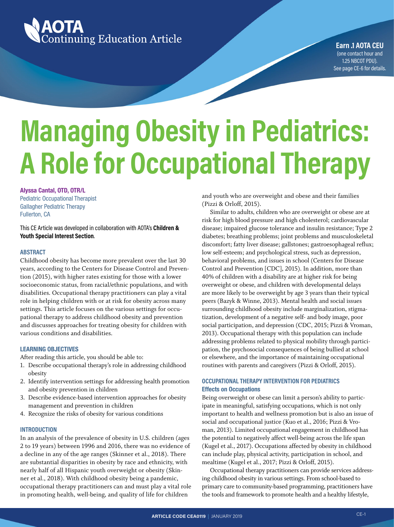

**Earn .1 AOTA CEU** (one contact hour and 1.25 NBCOT PDU). See page CE-6 for details.

## **Managing Obesity in Pediatrics: A Role for Occupational Therapy**

#### **Alyssa Cantal, OTD, OTR/L**

Pediatric Occupational Therapist Gallagher Pediatric Therapy Fullerton, CA

This CE Article was developed in collaboration with AOTA's **Children & Youth Special Interest Section**.

#### **ABSTRACT**

Childhood obesity has become more prevalent over the last 30 years, according to the Centers for Disease Control and Prevention (2015), with higher rates existing for those with a lower socioeconomic status, from racial/ethnic populations, and with disabilities. Occupational therapy practitioners can play a vital role in helping children with or at risk for obesity across many settings. This article focuses on the various settings for occupational therapy to address childhood obesity and prevention and discusses approaches for treating obesity for children with various conditions and disabilities.

#### **LEARNING OBJECTIVES**

After reading this article, you should be able to:

- 1. Describe occupational therapy's role in addressing childhood obesity
- 2. Identify intervention settings for addressing health promotion and obesity prevention in children
- 3. Describe evidence-based intervention approaches for obesity management and prevention in children
- 4. Recognize the risks of obesity for various conditions

#### **INTRODUCTION**

In an analysis of the prevalence of obesity in U.S. children (ages 2 to 19 years) between 1996 and 2016, there was no evidence of a decline in any of the age ranges (Skinner et al., 2018). There are substantial disparities in obesity by race and ethnicity, with nearly half of all Hispanic youth overweight or obesity (Skinner et al., 2018). With childhood obesity being a pandemic, occupational therapy practitioners can and must play a vital role in promoting health, well-being, and quality of life for children

and youth who are overweight and obese and their families (Pizzi & Orloff, 2015).

Similar to adults, children who are overweight or obese are at risk for high blood pressure and high cholesterol; cardiovascular disease; impaired glucose tolerance and insulin resistance; Type 2 diabetes; breathing problems; joint problems and musculoskeletal discomfort; fatty liver disease; gallstones; gastroesophageal reflux; low self-esteem; and psychological stress, such as depression, behavioral problems, and issues in school (Centers for Disease Control and Prevention [CDC], 2015). In addition, more than 40% of children with a disability are at higher risk for being overweight or obese, and children with developmental delays are more likely to be overweight by age 3 years than their typical peers (Bazyk & Winne, 2013). Mental health and social issues surrounding childhood obesity include marginalization, stigmatization, development of a negative self- and body image, poor social participation, and depression (CDC, 2015; Pizzi & Vroman, 2013). Occupational therapy with this population can include addressing problems related to physical mobility through participation, the psychosocial consequences of being bullied at school or elsewhere, and the importance of maintaining occupational routines with parents and caregivers (Pizzi & Orloff, 2015).

#### **OCCUPATIONAL THERAPY INTERVENTION FOR PEDIATRICS Effects on Occupations**

Being overweight or obese can limit a person's ability to participate in meaningful, satisfying occupations, which is not only important to health and wellness promotion but is also an issue of social and occupational justice (Kuo et al., 2016; Pizzi & Vroman, 2013). Limited occupational engagement in childhood has the potential to negatively affect well-being across the life span (Kugel et al., 2017). Occupations affected by obesity in childhood can include play, physical activity, participation in school, and mealtime (Kugel et al., 2017; Pizzi & Orloff, 2015).

Occupational therapy practitioners can provide services addressing childhood obesity in various settings. From school-based to primary care to community-based programming, practitioners have the tools and framework to promote health and a healthy lifestyle,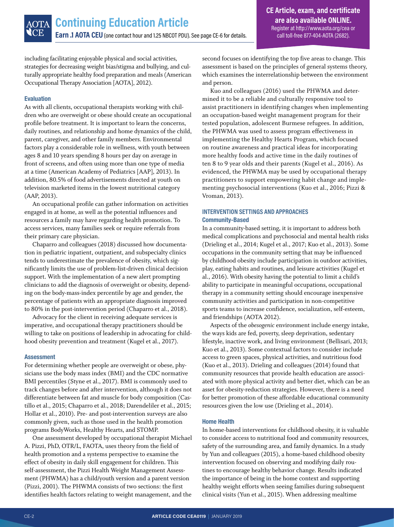including facilitating enjoyable physical and social activities, strategies for decreasing weight bias/stigma and bullying, and culturally appropriate healthy food preparation and meals (American Occupational Therapy Association [AOTA], 2012).

#### **Evaluation**

As with all clients, occupational therapists working with children who are overweight or obese should create an occupational profile before treatment. It is important to learn the concerns, daily routines, and relationship and home dynamics of the child, parent, caregiver, and other family members. Environmental factors play a considerable role in wellness, with youth between ages 8 and 10 years spending 8 hours per day on average in front of screens, and often using more than one type of media at a time (American Academy of Pediatrics [AAP], 2013). In addition, 80.5% of food advertisements directed at youth on television marketed items in the lowest nutritional category (AAP, 2013).

An occupational profile can gather information on activities engaged in at home, as well as the potential influences and resources a family may have regarding health promotion. To access services, many families seek or require referrals from their primary care physician.

Chaparro and colleagues (2018) discussed how documentation in pediatric inpatient, outpatient, and subspecialty clinics tends to underestimate the prevalence of obesity, which significantly limits the use of problem-list-driven clinical decision support. With the implementation of a new alert prompting clinicians to add the diagnosis of overweight or obesity, depending on the body-mass-index percentile by age and gender, the percentage of patients with an appropriate diagnosis improved to 80% in the post-intervention period (Chaparro et al., 2018).

Advocacy for the client in receiving adequate services is imperative, and occupational therapy practitioners should be willing to take on positions of leadership in advocating for childhood obesity prevention and treatment (Kugel et al., 2017).

#### **Assessment**

For determining whether people are overweight or obese, physicians use the body mass index (BMI) and the CDC normative BMI percentiles (Styne et al., 2017). BMI is commonly used to track changes before and after intervention, although it does not differentiate between fat and muscle for body composition (Castillo et al., 2015; Chaparro et al., 2018; Darendeliler et al., 2015; Hollar et al., 2010). Pre- and post-intervention surveys are also commonly given, such as those used in the health promotion programs BodyWorks, Healthy Hearts, and STOMP.

One assessment developed by occupational therapist Michael A. Pizzi, PhD, OTR/L, FAOTA, uses theory from the field of health promotion and a systems perspective to examine the effect of obesity in daily skill engagement for children. This self-assessment, the Pizzi Health Weight Management Assessment (PHWMA) has a child/youth version and a parent version (Pizzi, 2001). The PHWMA consists of two sections: the first identifies health factors relating to weight management, and the

second focuses on identifying the top five areas to change. This assessment is based on the principles of general systems theory, which examines the interrelationship between the environment and person.

Kuo and colleagues (2016) used the PHWMA and determined it to be a reliable and culturally responsive tool to assist practitioners in identifying changes when implementing an occupation-based weight management program for their tested population, adolescent Burmese refugees. In addition, the PHWMA was used to assess program effectiveness in implementing the Healthy Hearts Program, which focused on routine awareness and practical ideas for incorporating more healthy foods and active time in the daily routines of ten 8 to 9 year olds and their parents (Kugel et al., 2016). As evidenced, the PHWMA may be used by occupational therapy practitioners to support empowering habit change and implementing psychosocial interventions (Kuo et al., 2016; Pizzi & Vroman, 2013).

#### **INTERVENTION SETTINGS AND APPROACHES Community-Based**

In a community-based setting, it is important to address both medical complications and psychosocial and mental health risks (Drieling et al., 2014; Kugel et al., 2017; Kuo et al., 2013). Some occupations in the community setting that may be influenced by childhood obesity include participation in outdoor activities, play, eating habits and routines, and leisure activities (Kugel et al., 2016). With obesity having the potential to limit a child's ability to participate in meaningful occupations, occupational therapy in a community setting should encourage inexpensive community activities and participation in non-competitive sports teams to increase confidence, socialization, self-esteem, and friendships (AOTA 2012).

Aspects of the *obesogenic* environment include energy intake, the ways kids are fed, poverty, sleep deprivation, sedentary lifestyle, inactive work, and living environment (Bellisari, 2013; Kuo et al., 2013). Some contextual factors to consider include access to green spaces, physical activities, and nutritious food (Kuo et al., 2013). Drieling and colleagues (2014) found that community resources that provide health education are associated with more physical activity and better diet, which can be an asset for obesity-reduction strategies. However, there is a need for better promotion of these affordable educational community resources given the low use (Drieling et al., 2014).

#### **Home Health**

In home-based interventions for childhood obesity, it is valuable to consider access to nutritional food and community resources, safety of the surrounding area, and family dynamics. In a study by Yun and colleagues (2015), a home-based childhood obesity intervention focused on observing and modifying daily routines to encourage healthy behavior change. Results indicated the importance of being in the home context and supporting healthy weight efforts when seeing families during subsequent clinical visits (Yun et al., 2015). When addressing mealtime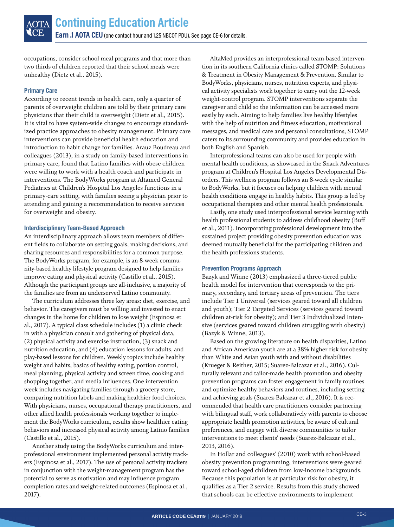occupations, consider school meal programs and that more than two thirds of children reported that their school meals were unhealthy (Dietz et al., 2015).

#### **Primary Care**

According to recent trends in health care, only a quarter of parents of overweight children are told by their primary care physicians that their child is overweight (Dietz et al., 2015). It is vital to have system-wide changes to encourage standardized practice approaches to obesity management. Primary care interventions can provide beneficial health education and introduction to habit change for families. Arauz Boudreau and colleagues (2013), in a study on family-based interventions in primary care, found that Latino families with obese children were willing to work with a health coach and participate in interventions. The BodyWorks program at Altamed General Pediatrics at Children's Hospital Los Angeles functions in a primary-care setting, with families seeing a physician prior to attending and gaining a recommendation to receive services for overweight and obesity.

#### **Interdisciplinary Team-Based Approach**

An interdisciplinary approach allows team members of different fields to collaborate on setting goals, making decisions, and sharing resources and responsibilities for a common purpose. The BodyWorks program, for example, is an 8-week community-based healthy lifestyle program designed to help families improve eating and physical activity (Castillo et al., 2015). Although the participant groups are all-inclusive, a majority of the families are from an underserved Latino community.

The curriculum addresses three key areas: diet, exercise, and behavior. The caregivers must be willing and invested to enact changes in the home for children to lose weight (Espinosa et al., 2017). A typical class schedule includes (1) a clinic check in with a physician consult and gathering of physical data, (2) physical activity and exercise instruction, (3) snack and nutrition education, and (4) education lessons for adults, and play-based lessons for children. Weekly topics include healthy weight and habits, basics of healthy eating, portion control, meal planning, physical activity and screen time, cooking and shopping together, and media influences. One intervention week includes navigating families through a grocery store, comparing nutrition labels and making healthier food choices. With physicians, nurses, occupational therapy practitioners, and other allied health professionals working together to implement the BodyWorks curriculum, results show healthier eating behaviors and increased physical activity among Latino families (Castillo et al., 2015).

Another study using the BodyWorks curriculum and interprofessional environment implemented personal activity trackers (Espinosa et al., 2017). The use of personal activity trackers in conjunction with the weight-management program has the potential to serve as motivation and may influence program completion rates and weight-related outcomes (Espinosa et al., 2017).

AltaMed provides an interprofessional team-based intervention in its southern California clinics called STOMP: Solutions & Treatment in Obesity Management & Prevention. Similar to BodyWorks, physicians, nurses, nutrition experts, and physical activity specialists work together to carry out the 12-week weight-control program. STOMP interventions separate the caregiver and child so the information can be accessed more easily by each. Aiming to help families live healthy lifestyles with the help of nutrition and fitness education, motivational messages, and medical care and personal consultations, STOMP caters to its surrounding community and provides education in both English and Spanish.

Interprofessional teams can also be used for people with mental health conditions, as showcased in the Snack Adventures program at Children's Hospital Los Angeles Developmental Disorders. This wellness program follows an 8-week cycle similar to BodyWorks, but it focuses on helping children with mental health conditions engage in healthy habits. This group is led by occupational therapists and other mental health professionals.

Lastly, one study used interprofessional service learning with health professional students to address childhood obesity (Buff et al., 2011). Incorporating professional development into the sustained project providing obesity prevention education was deemed mutually beneficial for the participating children and the health professions students.

#### **Prevention Programs Approach**

Bazyk and Winne (2013) emphasized a three-tiered public health model for intervention that corresponds to the primary, secondary, and tertiary areas of prevention. The tiers include Tier 1 Universal (services geared toward all children and youth); Tier 2 Targeted Services (services geared toward children at-risk for obesity); and Tier 3 Individualized Intensive (services geared toward children struggling with obesity) (Bazyk & Winne, 2013).

Based on the growing literature on health disparities, Latino and African American youth are at a 38% higher risk for obesity than White and Asian youth with and without disabilities (Krueger & Reither, 2015; Suarez-Balcazar et al., 2016). Culturally relevant and tailor-made health promotion and obesity prevention programs can foster engagement in family routines and optimize healthy behaviors and routines, including setting and achieving goals (Suarez-Balcazar et al., 2016). It is recommended that health care practitioners consider partnering with bilingual staff, work collaboratively with parents to choose appropriate health promotion activities, be aware of cultural preferences, and engage with diverse communities to tailor interventions to meet clients' needs (Suarez-Balcazar et al., 2013, 2016).

In Hollar and colleagues' (2010) work with school-based obesity prevention programming, interventions were geared toward school-aged children from low-income backgrounds. Because this population is at particular risk for obesity, it qualifies as a Tier 2 service. Results from this study showed that schools can be effective environments to implement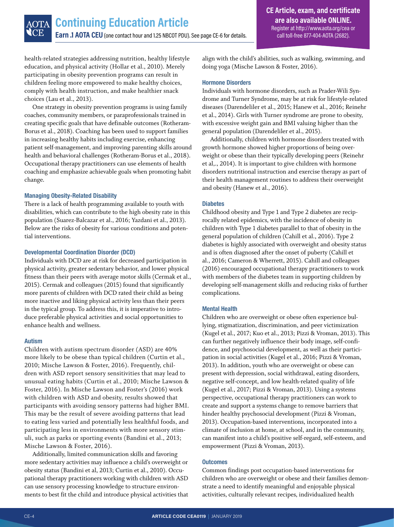health-related strategies addressing nutrition, healthy lifestyle education, and physical activity (Hollar et al., 2010). Merely participating in obesity prevention programs can result in children feeling more empowered to make healthy choices, comply with health instruction, and make healthier snack choices (Lau et al., 2013).

One strategy in obesity prevention programs is using family coaches, community members, or paraprofessionals trained in creating specific goals that have definable outcomes (Rotheram-Borus et al., 2018). Coaching has been used to support families in increasing healthy habits including exercise, enhancing patient self-management, and improving parenting skills around health and behavioral challenges (Rotheram-Borus et al., 2018). Occupational therapy practitioners can use elements of health coaching and emphasize achievable goals when promoting habit change.

#### **Managing Obesity-Related Disability**

There is a lack of health programming available to youth with disabilities, which can contribute to the high obesity rate in this population (Suarez-Balcazar et al., 2016; Yazdani et al., 2013). Below are the risks of obesity for various conditions and potential interventions.

#### **Developmental Coordination Disorder (DCD)**

Individuals with DCD are at risk for decreased participation in physical activity, greater sedentary behavior, and lower physical fitness than their peers with average motor skills (Cermak et al., 2015). Cermak and colleagues (2015) found that significantly more parents of children with DCD rated their child as being more inactive and liking physical activity less than their peers in the typical group. To address this, it is imperative to introduce preferable physical activities and social opportunities to enhance health and wellness.

#### **Autism**

Children with autism spectrum disorder (ASD) are 40% more likely to be obese than typical children (Curtin et al., 2010; Mische Lawson & Foster, 2016). Frequently, children with ASD report sensory sensitivities that may lead to unusual eating habits (Curtin et al., 2010; Mische Lawson & Foster, 2016). In Mische Lawson and Foster's (2016) work with children with ASD and obesity, results showed that participants with avoiding sensory patterns had higher BMI. This may be the result of severe avoiding patterns that lead to eating less varied and potentially less healthful foods, and participating less in environments with more sensory stimuli, such as parks or sporting events (Bandini et al., 2013; Mische Lawson & Foster, 2016).

Additionally, limited communication skills and favoring more sedentary activities may influence a child's overweight or obesity status (Bandini et al, 2013; Curtin et al., 2010). Occupational therapy practitioners working with children with ASD can use sensory processing knowledge to structure environments to best fit the child and introduce physical activities that align with the child's abilities, such as walking, swimming, and doing yoga (Mische Lawson & Foster, 2016).

#### **Hormone Disorders**

Individuals with hormone disorders, such as Prader-Wili Syndrome and Turner Syndrome, may be at risk for lifestyle-related diseases (Darendeliler et al., 2015; Hanew et al., 2016; Reinehr et al., 2014). Girls with Turner syndrome are prone to obesity, with excessive weight gain and BMI valuing higher than the general population (Darendeliler et al., 2015).

Additionally, children with hormone disorders treated with growth hormone showed higher proportions of being overweight or obese than their typically developing peers (Reinehr et al,., 2014). It is important to give children with hormone disorders nutritional instruction and exercise therapy as part of their health management routines to address their overweight and obesity (Hanew et al., 2016).

#### **Diabetes**

Childhood obesity and Type 1 and Type 2 diabetes are reciprocally related epidemics, with the incidence of obesity in children with Type 1 diabetes parallel to that of obesity in the general population of children (Cahill et al., 2016). Type 2 diabetes is highly associated with overweight and obesity status and is often diagnosed after the onset of puberty (Cahill et al., 2016; Cameron & Wherrett, 2015). Cahill and colleagues (2016) encouraged occupational therapy practitioners to work with members of the diabetes team in supporting children by developing self-management skills and reducing risks of further complications.

#### **Mental Health**

Children who are overweight or obese often experience bullying, stigmatization, discrimination, and peer victimization (Kugel et al., 2017; Kuo et al., 2013; Pizzi & Vroman, 2013). This can further negatively influence their body image, self-confidence, and psychosocial development, as well as their participation in social activities (Kugel et al., 2016; Pizzi & Vroman, 2013). In addition, youth who are overweight or obese can present with depression, social withdrawal, eating disorders, negative self-concept, and low health-related quality of life (Kugel et al., 2017; Pizzi & Vroman, 2013). Using a systems perspective, occupational therapy practitioners can work to create and support a systems change to remove barriers that hinder healthy psychosocial development (Pizzi & Vroman, 2013). Occupation-based interventions, incorporated into a climate of inclusion at home, at school, and in the community, can manifest into a child's positive self-regard, self-esteem, and empowerment (Pizzi & Vroman, 2013).

#### **Outcomes**

Common findings post occupation-based interventions for children who are overweight or obese and their families demonstrate a need to identify meaningful and enjoyable physical activities, culturally relevant recipes, individualized health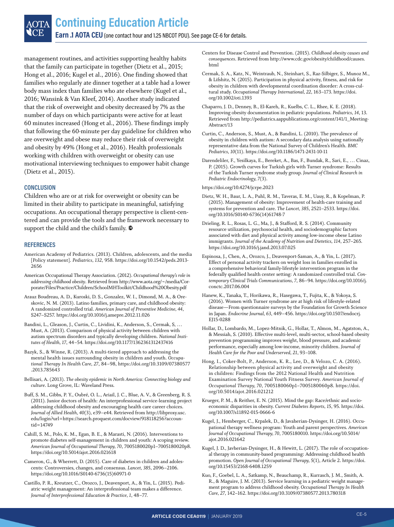management routines, and activities supporting healthy habits that the family can participate in together (Dietz et al., 2015; Hong et al., 2016; Kugel et al., 2016). One finding showed that families who regularly ate dinner together at a table had a lower body mass index than families who ate elsewhere (Kugel et al., 2016; Wansink & Van Kleef, 2014). Another study indicated that the risk of overweight and obesity decreased by 7% as the number of days on which participants were active for at least 60 minutes increased (Hong et al., 2016). These findings imply that following the 60-minute per day guideline for children who are overweight and obese may reduce their risk of overweight and obesity by 49% (Hong et al., 2016). Health professionals working with children with overweight or obesity can use motivational interviewing techniques to empower habit change (Dietz et al., 2015).

#### **CONCLUSION**

Children who are or at risk for overweight or obesity can be limited in their ability to participate in meaningful, satisfying occupations. An occupational therapy perspective is client-centered and can provide the tools and the framework necessary to support the child and the child's family.  $\mathbf{\mathfrak{D}}$ 

#### **REFERENCES**

- American Academy of Pediatrics. (2013). Children, adolescents, and the media [Policy statement]. *Pediatrics, 132*, 958. [https://doi.org/10.1542/peds.2013-](https://doi.org/10.1542/peds.2013-2656) [2656](https://doi.org/10.1542/peds.2013-2656)
- American Occupational Therapy Association. (2012). *Occupational therapy's role in addressing childhood obesity*. Retrieved from [http://www.aota.org/~/media/Cor](http://www.aota.org/~/media/Corporate/Files/Practice/Children/SchoolMHToolkit/Childhood%20Obesity.pdf)[porate/Files/Practice/Children/SchoolMHToolkit/Childhood%20Obesity.pdf](http://www.aota.org/~/media/Corporate/Files/Practice/Children/SchoolMHToolkit/Childhood%20Obesity.pdf)
- Arauz Boudreau, A. D., Kuroski, D. S., Gonzalez, W. I., Dimond, M. A., & Oreskovic, N. M. (2013). Latino families, primary care, and childhood obesity: A randomized controlled trial. *American Journal of Preventive Medicine, 44*, S247–S257. <https://doi.org/10.1016/j.amepre.2012.11.026>
- Bandini, L., Gleason, J., Curtin, C., Lividini, K., Anderson, S., Cermak, S, … Must, A. (2013). Comparison of physical activity between children with autism spectrum disorders and typically developing children. *National Institutes of Health, 17*, 44–54. <https://doi.org/10.1177/1362361312437416>
- Bazyk, S., & Winne, R. (2013). A multi-tiered approach to addressing the mental health issues surrounding obesity in children and youth. *Occupational Therapy In Health Care, 27*, 84–98, [https://doi.org/10.3109/07380577](https://doi.org/10.3109/07380577.2013.785643) [.2013.785643](https://doi.org/10.3109/07380577.2013.785643)
- Bellisari, A. (2013). *The obesity epidemic in North America: Connecting biology and culture*. Long Grove, IL: Waveland Press.
- Buff, S. M., Gibbs, P. Y., Oubré, O. L., Ariail, J. C., Blue, A. V., & Greenberg, R. S. (2011). Junior doctors of health: An interprofessional service-learning project addressing childhood obesity and encouraging health care career choices. *Journal of Allied Health, 40*(3), e39–e44. Retrieved from [http://libproxy.usc.](http://libproxy.usc.edu/login?url=https://search.proquest.com/docview/918118256?accountid=14749) [edu/login?url=https://search.proquest.com/docview/918118256?accoun](http://libproxy.usc.edu/login?url=https://search.proquest.com/docview/918118256?accountid=14749)[tid=14749](http://libproxy.usc.edu/login?url=https://search.proquest.com/docview/918118256?accountid=14749)
- Cahill, S. M., Polo, K. M., Egan, B. E., & Marasti, N. (2016). Interventions to promote diabetes self-management in children and youth: A scoping review. *American Journal of Occupational Therapy, 70*, 7005180020p1–7005180020p8. <https://doi.org/10.5014/ajot.2016.021618>
- Cameron, G., & Wherrett, D. (2015). Care of diabetes in children and adolescents: Controversies, changes, and consensus. *Lancet, 385*, 2096–2106. [https://doi.org/10.1016/S0140-6736\(15\)60971-0](https://doi.org/10.1016/S0140-6736(15)60971-0)
- Castillo, P. R., Kreutzer, C., Orozco, J., Deavenport, A., & Yin, L. (2015). Pediatric weight management: An interprofessional team makes a difference. *Journal of Interprofessional Education & Practice, 1*, 48–77.
- Centers for Disease Control and Prevention. (2015). *Childhood obesity causes and consequences*. Retrieved from [http://www.cdc.gov/obesity/childhood/causes.](http://www.cdc.gov/obesity/childhood/causes.html) [html](http://www.cdc.gov/obesity/childhood/causes.html)
- Cermak, S. A., Katz, N., Weintraub, N., Steinhart, S., Raz-Silbiger, S., Munoz M., & Lifshitz, N. (2015). Participation in physical activity, fitness, and risk for obesity in children with developmental coordination disorder: A cross-cultural study. *Occupational Therapy International, 22*, 163–173. [https://doi.](https://doi.org/10.1002/oti.1393) [org/10.1002/oti.1393](https://doi.org/10.1002/oti.1393)
- Chaparro, J. D., Denney, B., El-Kareh, R., Kuelbs, C. L., Rhee, K. E. (2018). Improving obesity documentation in pediatric populations. *Pediatrics, 14*, 13. Retrieved from [http://pediatrics.aappublications.org/content/141/1\\_Meeting-](http://pediatrics.aappublications.org/content/141/1_MeetingAbstract/13)[Abstract/13](http://pediatrics.aappublications.org/content/141/1_MeetingAbstract/13)
- Curtin, C., Anderson, S., Must, A., & Bandini, L. (2010). The prevalence of obesity in children with autism: A secondary data analysis using nationally representative data from the National Survey of Children's Health. *BMC Pediatrics, 10*(11). <https://doi.org/10.1186/1471-2431-10-11>
- Darendeliler, F., Yesilkaya, E., Bereket, A., Bas, F., Bundak, R., Sari, E., … Cinaz, P. (2015). Growth curves for Turkish girls with Turner syndrome: Results of the Turkish Turner syndrome study group. *Journal of Clinical Research in Pediatric Endocrinology, 7*(3).

<https://doi.org/10.4274/jcrpe.2023>

- Dietz, W. H., Baur, L. A., Puhl, R. M., Taveras, E. M., Uauy, R., & Kopelman, P. (2015). Management of obesity: Improvement of health-care training and systems for prevention and care. *The Lancet, 385*, 2521–2533. [https://doi.](https://doi.org/10.1016/S0140-6736(14)61748-7•) [org/10.1016/S0140-6736\(14\)61748-7](https://doi.org/10.1016/S0140-6736(14)61748-7•)
- Drieling, R. L., Rosas, L. G., Ma, J., & Stafford, R. S. (2014). Community resource utilization, psychosocial health, and sociodemographic factors associated with diet and physical activity among low-income obese Latino immigrants. *Journal of the Academy of Nutrition and Dietetics, 114*, 257–265. <https://doi.org/10.1016/j.jand.2013.07.025>
- Espinosa, J., Chen, A., Orozco, J., Deavenport-Saman, A., & Yin, L. (2017). Effect of personal activity trackers on weight loss in families enrolled in a comprehensive behavioral family-lifestyle intervention program in the federally qualified health center setting: A randomized controlled trial. *Contemporary Clinical Trials Communications, 7*, 86–94. [https://doi.org/10.1016/j.](https://doi.org/10.1016/j.conctc.2017.06.004) [conctc.2017.06.004](https://doi.org/10.1016/j.conctc.2017.06.004)
- Hanew, K., Tanaka, T., Horikawa, R., Hasegawa, T., Fujita, K., & Yokoya, S. (2016). Women with Turner syndrome are at high risk of lifestyle-related disease—From questionnaire surveys by the Foundation for Growth Science in Japan. *Endocrine Journal, 63*, 449–456. [https://doi.org/10.1507/endocrj.](https://doi.org/10.1507/endocrj.EJ15-0288) [EJ15-0288](https://doi.org/10.1507/endocrj.EJ15-0288)
- Hollar, D., Lombardo, M., Lopez-Mitnik, G., Hollar, T., Almon, M., Agatston, A., & Messiah, S. (2010). Effective multi-level, multi-sector, school-based obesity prevention programming improves weight, blood pressure, and academic performance, especially among low-income, minority children. *Journal of Health Care for the Poor and Underserved, 21*, 93–108.
- Hong, I., Coker-Bolt, P., Anderson, K. R., Lee, D., & Velozo, C. A. (2016). Relationship between physical activity and overweight and obesity in children: Findings from the 2012 National Health and Nutrition Examination Survey National Youth Fitness Survey. *American Journal of Occupational Therapy, 70*, 7005180060p1–7005180060p8. [https://doi.](https://doi.org/10.5014/ajot.2016.021212) [org/10.5014/ajot.2016.021212](https://doi.org/10.5014/ajot.2016.021212)
- Krueger, P. M., & Reither, E. N. (2015). Mind the gap: Race/ethnic and socioeconomic disparities in obesity. *Current Diabetes Reports, 15*, 95. [https://doi.](https://doi.org/10.1007/s11892-015-0666-6) [org/10.1007/s11892-015-0666-6](https://doi.org/10.1007/s11892-015-0666-6)
- Kugel, J., Hemberger, C., Krpalek, D., & Javaherian-Dysinger, H. (2016). Occupational therapy wellness program: Youth and parent perspectives. *American Journal of Occupational Therapy, 70*, 7005180010. [https://doi.org/10.5014/](https://doi.org/10.5014/ajot.2016.021642) [ajot.2016.021642](https://doi.org/10.5014/ajot.2016.021642)
- Kugel, J. D., Javherian-Dysinger, H., & Hewitt, L. (2017). The role of occupational therapy in community-based programming: Addressing childhood health promotion. *Open Journal of Occupational Therapy, 5*(1), Article 2. [https://doi.](https://doi.org/10.15453/2168-6408.1259) [org/10.15453/2168-6408.1259](https://doi.org/10.15453/2168-6408.1259)
- Kuo, F., Goebel, L. A., Satkamp, N., Beauchamp, R., Kurrasch, J. M., Smith, A. R., & Maguire, J. M. (2013). Service learning in a pediatric weight management program to address childhood obesity. *Occupational Therapy In Health Care, 27*, 142–162. <https://doi.org/10.3109/07380577.2013.780318>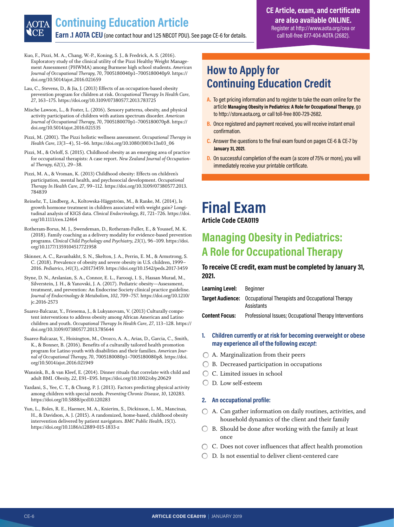#### **Earn .1 AOTA CEU** (one contact hour and 1.25 NBCOT PDU). See page CE-6 for details. **Continuing Education Article**

#### **CE Article, exam, and certificate are also available ONLINE.** Register at<http://www.aota.org/cea> or call toll-free 877-404-AOTA (2682).

Kuo, F., Pizzi, M. A., Chang, W.-P., Koning, S. J., & Fredrick, A. S. (2016). Exploratory study of the clinical utility of the Pizzi Healthy Weight Management Assessment (PHWMA) among Burmese high school students. *American Journal of Occupational Therapy, 70*, 7005180040p1–7005180040p9. [https://](https://doi.org/10.5014/ajot.2016.021659) [doi.org/10.5014/ajot.2016.021659](https://doi.org/10.5014/ajot.2016.021659)

Lau, C., Stevens, D., & Jia, J. (2013) Effects of an occupation-based obesity prevention program for children at risk. *Occupational Therapy In Health Care, 27*, 163–175.<https://doi.org/10.3109/07380577.2013.783725>

Mische Lawson, L., & Foster, L. (2016). Sensory patterns, obesity, and physical activity participation of children with autism spectrum disorder. *American Journal of Occupational Therapy, 70*, 7005180070p1–7005180070p8. [https://](https://doi.org/10.5014/ajot.2016.021535) [doi.org/10.5014/ajot.2016.021535](https://doi.org/10.5014/ajot.2016.021535) 

Pizzi, M. (2001). The Pizzi holistic wellness assessment. *Occupational Therapy in Health Care, 13*(3–4), 51–66. [https://doi.org/10.1080/J003v13n03\\_06](https://doi.org/10.1080/J003v13n03_06) 

Pizzi, M., & Orloff, S. (2015). Childhood obesity as an emerging area of practice for occupational therapists: A case report. *New Zealand Journal of Occupational Therapy, 62*(1), 29–38.

Pizzi, M. A., & Vroman, K. (2013) Childhood obesity: Effects on children's participation, mental health, and psychosocial development. *Occupational Therapy In Health Care, 27*, 99–112. [https://doi.org/10.3109/07380577.2013.](https://doi.org/10.3109/07380577.2013.784839) [784839](https://doi.org/10.3109/07380577.2013.784839) 

Reinehr, T., Lindberg, A., Koltowska-Häggström, M., & Ranke, M. (2014), Is growth hormone treatment in children associated with weight gain? Longitudinal analysis of KIGS data. *Clinical Endocrinology, 81*, 721–726. [https://doi.](https://doi.org/10.1111/cen.12464) [org/10.1111/cen.12464](https://doi.org/10.1111/cen.12464) 

Rotheram-Borus, M. J., Swendeman, D., Rotheram-Fuller, E., & Youssef, M. K. (2018). Family coaching as a delivery modality for evidence-based prevention programs. *Clinical Child Psychology and Psychiatry, 23*(1), 96–109. [https://doi.](https://doi.org/10.1177/1359104517721958) [org/10.1177/1359104517721958](https://doi.org/10.1177/1359104517721958)

Skinner, A. C., Ravanbakht, S. N., Skelton, J. A., Perrin, E. M., & Armstrong, S. C. (2018). Prevalence of obesity and severe obesity in U.S. children, 1999– 2016. *Pediatrics, 141*(3), e20173459.<https://doi.org/10.1542/peds.2017-3459>

Styne, D. N., Arslanian, S. A., Connor, E. L., Farooqi, I. S., Hassan Murad, M., Silverstein, J. H., & Yanovski, J. A. (2017). Pediatric obesity—Assessment, treatment, and prevention: An Endocrine Society clinical practice guideline. *Journal of Endocrinology & Metabolism, 102*, 709–757. [https://doi.org/10.1210/](https://doi.org/10.1210/jc.2016-2573) [jc.2016-2573](https://doi.org/10.1210/jc.2016-2573)

Suarez-Balcazar, Y., Friesema, J., & Lukyanovam, V. (2013) Culturally competent interventions to address obesity among African American and Latino children and youth. *Occupational Therapy In Health Care, 27*, 113–128. [https://](https://doi.org/10.3109/07380577.2013.785644) [doi.org/10.3109/07380577.2013.785644](https://doi.org/10.3109/07380577.2013.785644)

Suarez-Balcazar, Y., Hoisington, M., Orozco, A. A., Arias, D., Garcia, C., Smith, K., & Bonner, B. (2016). Benefits of a culturally tailored health promotion program for Latino youth with disabilities and their families. *American Journal of Occupational Therapy, 70*, 7005180080p1–7005180080p8. [https://doi.](https://doi.org/10.5014/ajot.2016.021949) [org/10.5014/ajot.2016.021949](https://doi.org/10.5014/ajot.2016.021949) 

Wansink, B., & van Kleef, E. (2014). Dinner rituals that correlate with child and adult BMI. *Obesity, 22*, E91–E95.<https://doi.org/10.1002/oby.20629>

Yazdani, S., Yee, C. T., & Chung, P. J. (2013). Factors predicting physical activity among children with special needs. *Preventing Chronic Disease, 10*, 120283. <https://doi.org/10.5888/pcd10.120283>

Yun, L., Boles, R. E., Haemer, M. A., Knierim, S., Dickinson, L. M., Mancinas, H., & Davidson, A. J. (2015). A randomized, home-based, childhood obesity intervention delivered by patient navigators. *BMC Public Health, 15*(1). <https://doi.org/10.1186/s12889-015-1833-z>

#### **How to Apply for Continuing Education Credit**

- **A.** To get pricing information and to register to take the exam online for the article **Managing Obesity in Pediatrics: A Role for Occupational Therapy**, go to http://store.aota.org, or call toll-free 800-729-2682.
- **B.** Once registered and payment received, you will receive instant email confirmation.
- **C.** Answer the questions to the final exam found on pages CE-6 & CE-7 by **January 31, 2021**.
- **D.** On successful completion of the exam (a score of 75% or more), you will immediately receive your printable certificate.

### **Final Exam**

#### **Article Code CEA0119**

#### **Managing Obesity in Pediatrics: A Role for Occupational Therapy**

#### **To receive CE credit, exam must be completed by January 31, 2021.**

| Learning Level: | Beainner                                                                               |
|-----------------|----------------------------------------------------------------------------------------|
|                 | <b>Target Audience:</b> Occupational Therapists and Occupational Therapy<br>Assistants |

**Content Focus:** Professional Issues; Occupational Therapy Interventions

#### **1. Children currently or at risk for becoming overweight or obese may experience all of the following** *except***:**

- $\bigcirc$  A. Marginalization from their peers
- $\bigcirc$  B. Decreased participation in occupations
- C. Limited issues in school
- D. Low self-esteem

#### **2. An occupational profile:**

- A. Can gather information on daily routines, activities, and household dynamics of the client and their family
- $\bigcirc$  B. Should be done after working with the family at least once
- C. Does not cover influences that affect health promotion
- D. Is not essential to deliver client-centered care